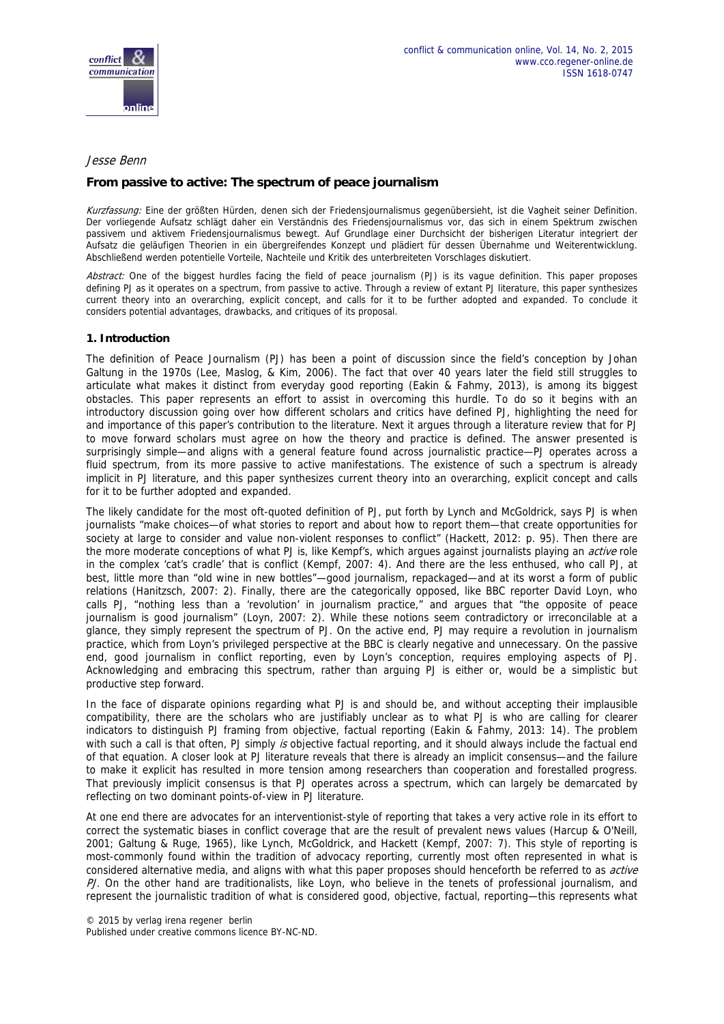

#### Jesse Benn

# **From passive to active: The spectrum of peace journalism**

Kurzfassung: Eine der größten Hürden, denen sich der Friedensjournalismus gegenübersieht, ist die Vagheit seiner Definition. Der vorliegende Aufsatz schlägt daher ein Verständnis des Friedensjournalismus vor, das sich in einem Spektrum zwischen passivem und aktivem Friedensjournalismus bewegt. Auf Grundlage einer Durchsicht der bisherigen Literatur integriert der Aufsatz die geläufigen Theorien in ein übergreifendes Konzept und plädiert für dessen Übernahme und Weiterentwicklung. Abschließend werden potentielle Vorteile, Nachteile und Kritik des unterbreiteten Vorschlages diskutiert.

Abstract: One of the biggest hurdles facing the field of peace journalism (PJ) is its vague definition. This paper proposes defining PJ as it operates on a spectrum, from passive to active. Through a review of extant PJ literature, this paper synthesizes current theory into an overarching, explicit concept, and calls for it to be further adopted and expanded. To conclude it considers potential advantages, drawbacks, and critiques of its proposal.

## **1. Introduction**

The definition of Peace Journalism (PJ) has been a point of discussion since the field's conception by Johan Galtung in the 1970s (Lee, Maslog, & Kim, 2006). The fact that over 40 years later the field still struggles to articulate what makes it distinct from everyday good reporting (Eakin & Fahmy, 2013), is among its biggest obstacles. This paper represents an effort to assist in overcoming this hurdle. To do so it begins with an introductory discussion going over how different scholars and critics have defined PJ, highlighting the need for and importance of this paper's contribution to the literature. Next it argues through a literature review that for PJ to move forward scholars must agree on how the theory and practice is defined. The answer presented is surprisingly simple—and aligns with a general feature found across journalistic practice—PJ operates across a fluid spectrum, from its more passive to active manifestations. The existence of such a spectrum is already implicit in PJ literature, and this paper synthesizes current theory into an overarching, explicit concept and calls for it to be further adopted and expanded.

The likely candidate for the most oft-quoted definition of PJ, put forth by Lynch and McGoldrick, says PJ is when journalists "make choices—of what stories to report and about how to report them—that create opportunities for society at large to consider and value non-violent responses to conflict" (Hackett, 2012: p. 95). Then there are the more moderate conceptions of what PJ is, like Kempf's, which argues against journalists playing an *active* role in the complex 'cat's cradle' that is conflict (Kempf, 2007: 4). And there are the less enthused, who call PJ, at best, little more than "old wine in new bottles"—good journalism, repackaged—and at its worst a form of public relations (Hanitzsch, 2007: 2). Finally, there are the categorically opposed, like BBC reporter David Loyn, who calls PJ, "nothing less than a 'revolution' in journalism practice," and argues that "the opposite of peace journalism is good journalism" (Loyn, 2007: 2). While these notions seem contradictory or irreconcilable at a glance, they simply represent the spectrum of PJ. On the active end, PJ may require a revolution in journalism practice, which from Loyn's privileged perspective at the BBC is clearly negative and unnecessary. On the passive end, good journalism in conflict reporting, even by Loyn's conception, requires employing aspects of PJ. Acknowledging and embracing this spectrum, rather than arguing PJ is either or, would be a simplistic but productive step forward.

In the face of disparate opinions regarding what PJ is and should be, and without accepting their implausible compatibility, there are the scholars who are justifiably unclear as to what PJ is who are calling for clearer indicators to distinguish PJ framing from objective, factual reporting (Eakin & Fahmy, 2013: 14). The problem with such a call is that often, PJ simply is objective factual reporting, and it should always include the factual end of that equation. A closer look at PJ literature reveals that there is already an implicit consensus—and the failure to make it explicit has resulted in more tension among researchers than cooperation and forestalled progress. That previously implicit consensus is that PJ operates across a spectrum, which can largely be demarcated by reflecting on two dominant points-of-view in PJ literature.

At one end there are advocates for an interventionist-style of reporting that takes a very active role in its effort to correct the systematic biases in conflict coverage that are the result of prevalent news values (Harcup & O'Neill, 2001; Galtung & Ruge, 1965), like Lynch, McGoldrick, and Hackett (Kempf, 2007: 7). This style of reporting is most-commonly found within the tradition of advocacy reporting, currently most often represented in what is considered alternative media, and aligns with what this paper proposes should henceforth be referred to as *active* PJ. On the other hand are traditionalists, like Loyn, who believe in the tenets of professional journalism, and represent the journalistic tradition of what is considered good, objective, factual, reporting—this represents what

© 2015 by verlag irena regener berlin Published under creative commons licence BY-NC-ND.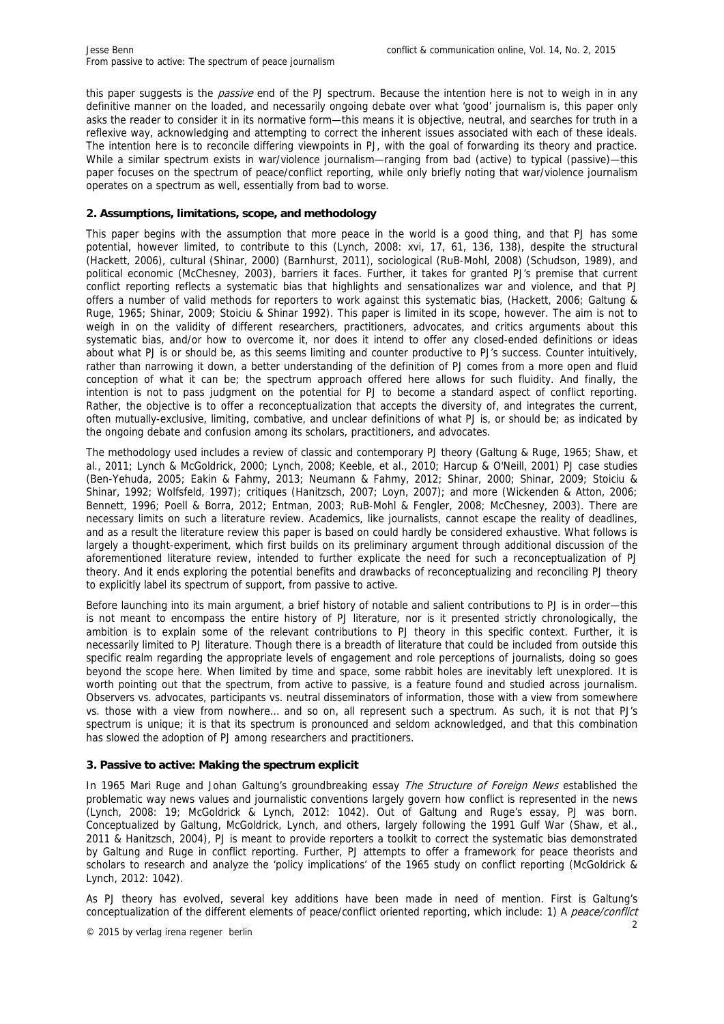this paper suggests is the *passive* end of the PJ spectrum. Because the intention here is not to weigh in in any definitive manner on the loaded, and necessarily ongoing debate over what 'good' journalism is, this paper only asks the reader to consider it in its normative form—this means it is objective, neutral, and searches for truth in a reflexive way, acknowledging and attempting to correct the inherent issues associated with each of these ideals. The intention here is to reconcile differing viewpoints in PJ, with the goal of forwarding its theory and practice. While a similar spectrum exists in war/violence journalism—ranging from bad (active) to typical (passive)—this paper focuses on the spectrum of peace/conflict reporting, while only briefly noting that war/violence journalism operates on a spectrum as well, essentially from bad to worse.

## **2. Assumptions, limitations, scope, and methodology**

This paper begins with the assumption that more peace in the world is a good thing, and that PJ has some potential, however limited, to contribute to this (Lynch, 2008: xvi, 17, 61, 136, 138), despite the structural (Hackett, 2006), cultural (Shinar, 2000) (Barnhurst, 2011), sociological (RuB-Mohl, 2008) (Schudson, 1989), and political economic (McChesney, 2003), barriers it faces. Further, it takes for granted PJ's premise that current conflict reporting reflects a systematic bias that highlights and sensationalizes war and violence, and that PJ offers a number of valid methods for reporters to work against this systematic bias, (Hackett, 2006; Galtung & Ruge, 1965; Shinar, 2009; Stoiciu & Shinar 1992). This paper is limited in its scope, however. The aim is not to weigh in on the validity of different researchers, practitioners, advocates, and critics arguments about this systematic bias, and/or how to overcome it, nor does it intend to offer any closed-ended definitions or ideas about what PJ is or should be, as this seems limiting and counter productive to PJ's success. Counter intuitively, rather than narrowing it down, a better understanding of the definition of PJ comes from a more open and fluid conception of what it can be; the spectrum approach offered here allows for such fluidity. And finally, the intention is not to pass judgment on the potential for PJ to become a standard aspect of conflict reporting. Rather, the objective is to offer a reconceptualization that accepts the diversity of, and integrates the current, often mutually-exclusive, limiting, combative, and unclear definitions of what PJ is, or should be; as indicated by the ongoing debate and confusion among its scholars, practitioners, and advocates.

The methodology used includes a review of classic and contemporary PJ theory (Galtung & Ruge, 1965; Shaw, et al., 2011; Lynch & McGoldrick, 2000; Lynch, 2008; Keeble, et al., 2010; Harcup & O'Neill, 2001) PJ case studies (Ben-Yehuda, 2005; Eakin & Fahmy, 2013; Neumann & Fahmy, 2012; Shinar, 2000; Shinar, 2009; Stoiciu & Shinar, 1992; Wolfsfeld, 1997); critiques (Hanitzsch, 2007; Loyn, 2007); and more (Wickenden & Atton, 2006; Bennett, 1996; Poell & Borra, 2012; Entman, 2003; RuB-Mohl & Fengler, 2008; McChesney, 2003). There are necessary limits on such a literature review. Academics, like journalists, cannot escape the reality of deadlines, and as a result the literature review this paper is based on could hardly be considered exhaustive. What follows is largely a thought-experiment, which first builds on its preliminary argument through additional discussion of the aforementioned literature review, intended to further explicate the need for such a reconceptualization of PJ theory. And it ends exploring the potential benefits and drawbacks of reconceptualizing and reconciling PJ theory to explicitly label its spectrum of support, from passive to active.

Before launching into its main argument, a brief history of notable and salient contributions to PJ is in order—this is not meant to encompass the entire history of PJ literature, nor is it presented strictly chronologically, the ambition is to explain some of the relevant contributions to PJ theory in this specific context. Further, it is necessarily limited to PJ literature. Though there is a breadth of literature that could be included from outside this specific realm regarding the appropriate levels of engagement and role perceptions of journalists, doing so goes beyond the scope here. When limited by time and space, some rabbit holes are inevitably left unexplored. It is worth pointing out that the spectrum, from active to passive, is a feature found and studied across journalism. Observers vs. advocates, participants vs. neutral disseminators of information, those with a view from somewhere vs. those with a view from nowhere… and so on, all represent such a spectrum. As such, it is not that PJ's spectrum is unique; it is that its spectrum is pronounced and seldom acknowledged, and that this combination has slowed the adoption of PJ among researchers and practitioners.

#### **3. Passive to active: Making the spectrum explicit**

In 1965 Mari Ruge and Johan Galtung's groundbreaking essay The Structure of Foreign News established the problematic way news values and journalistic conventions largely govern how conflict is represented in the news (Lynch, 2008: 19; McGoldrick & Lynch, 2012: 1042). Out of Galtung and Ruge's essay, PJ was born. Conceptualized by Galtung, McGoldrick, Lynch, and others, largely following the 1991 Gulf War (Shaw, et al., 2011 & Hanitzsch, 2004), PJ is meant to provide reporters a toolkit to correct the systematic bias demonstrated by Galtung and Ruge in conflict reporting. Further, PJ attempts to offer a framework for peace theorists and scholars to research and analyze the 'policy implications' of the 1965 study on conflict reporting (McGoldrick & Lynch, 2012: 1042).

As PJ theory has evolved, several key additions have been made in need of mention. First is Galtung's conceptualization of the different elements of peace/conflict oriented reporting, which include: 1) A peace/conflict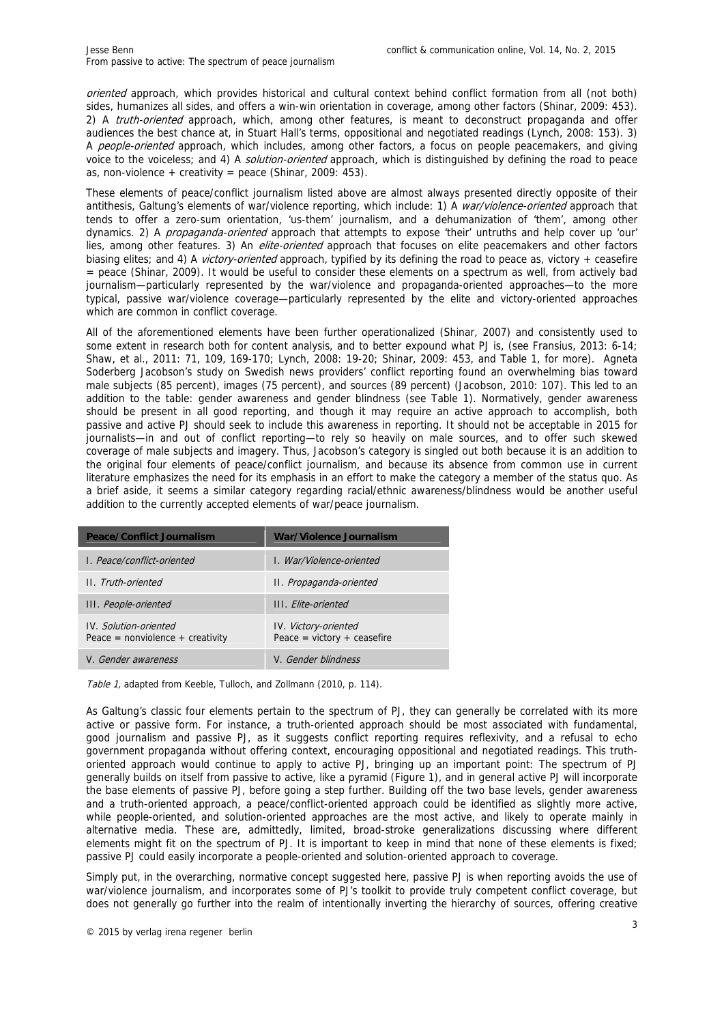oriented approach, which provides historical and cultural context behind conflict formation from all (not both) sides, humanizes all sides, and offers a win-win orientation in coverage, among other factors (Shinar, 2009: 453). 2) A *truth-oriented* approach, which, among other features, is meant to deconstruct propaganda and offer audiences the best chance at, in Stuart Hall's terms, oppositional and negotiated readings (Lynch, 2008: 153). 3) A people-oriented approach, which includes, among other factors, a focus on people peacemakers, and giving voice to the voiceless; and 4) A *solution-oriented* approach, which is distinguished by defining the road to peace as, non-violence + creativity = peace (Shinar, 2009: 453).

These elements of peace/conflict journalism listed above are almost always presented directly opposite of their antithesis, Galtung's elements of war/violence reporting, which include: 1) A war/violence-oriented approach that tends to offer a zero-sum orientation, 'us-them' journalism, and a dehumanization of 'them', among other dynamics. 2) A *propaganda-oriented* approach that attempts to expose 'their' untruths and help cover up 'our' lies, among other features. 3) An *elite-oriented* approach that focuses on elite peacemakers and other factors biasing elites; and 4) A *victory-oriented* approach, typified by its defining the road to peace as, victory + ceasefire = peace (Shinar, 2009). It would be useful to consider these elements on a spectrum as well, from actively bad journalism—particularly represented by the war/violence and propaganda-oriented approaches—to the more typical, passive war/violence coverage—particularly represented by the elite and victory-oriented approaches which are common in conflict coverage.

All of the aforementioned elements have been further operationalized (Shinar, 2007) and consistently used to some extent in research both for content analysis, and to better expound what PJ is, (see Fransius, 2013: 6-14; Shaw, et al., 2011: 71, 109, 169-170; Lynch, 2008: 19-20; Shinar, 2009: 453, and Table 1, for more). Agneta Soderberg Jacobson's study on Swedish news providers' conflict reporting found an overwhelming bias toward male subjects (85 percent), images (75 percent), and sources (89 percent) (Jacobson, 2010: 107). This led to an addition to the table: gender awareness and gender blindness (see Table 1). Normatively, gender awareness should be present in all good reporting, and though it may require an active approach to accomplish, both passive and active PJ should seek to include this awareness in reporting. It should not be acceptable in 2015 for journalists—in and out of conflict reporting—to rely so heavily on male sources, and to offer such skewed coverage of male subjects and imagery. Thus, Jacobson's category is singled out both because it is an addition to the original four elements of peace/conflict journalism, and because its absence from common use in current literature emphasizes the need for its emphasis in an effort to make the category a member of the status quo. As a brief aside, it seems a similar category regarding racial/ethnic awareness/blindness would be another useful addition to the currently accepted elements of war/peace journalism.

| Peace/Conflict Journalism                                          | War/Violence Journalism                                      |
|--------------------------------------------------------------------|--------------------------------------------------------------|
| L. Peace/conflict-oriented                                         | L. War/Violence-oriented                                     |
| II. Truth-oriented                                                 | II. Propaganda-oriented                                      |
| III. People-oriented                                               | III Flite-oriented                                           |
| <b>IV.</b> Solution-oriented<br>Peace = $nonviolence + creativity$ | <b>IV.</b> Victory-oriented<br>Peace = $victory + ceasefire$ |
| V. Gender awareness                                                | V. Gender blindness                                          |

Table 1, adapted from Keeble, Tulloch, and Zollmann (2010, p. 114).

As Galtung's classic four elements pertain to the spectrum of PJ, they can generally be correlated with its more active or passive form. For instance, a truth-oriented approach should be most associated with fundamental, good journalism and passive PJ, as it suggests conflict reporting requires reflexivity, and a refusal to echo government propaganda without offering context, encouraging oppositional and negotiated readings. This truthoriented approach would continue to apply to active PJ, bringing up an important point: The spectrum of PJ generally builds on itself from passive to active, like a pyramid (Figure 1), and in general active PJ will incorporate the base elements of passive PJ, before going a step further. Building off the two base levels, gender awareness and a truth-oriented approach, a peace/conflict-oriented approach could be identified as slightly more active, while people-oriented, and solution-oriented approaches are the most active, and likely to operate mainly in alternative media. These are, admittedly, limited, broad-stroke generalizations discussing where different elements might fit on the spectrum of PJ. It is important to keep in mind that none of these elements is fixed; passive PJ could easily incorporate a people-oriented and solution-oriented approach to coverage.

Simply put, in the overarching, normative concept suggested here, passive PJ is when reporting avoids the use of war/violence journalism, and incorporates some of PJ's toolkit to provide truly competent conflict coverage, but does not generally go further into the realm of intentionally inverting the hierarchy of sources, offering creative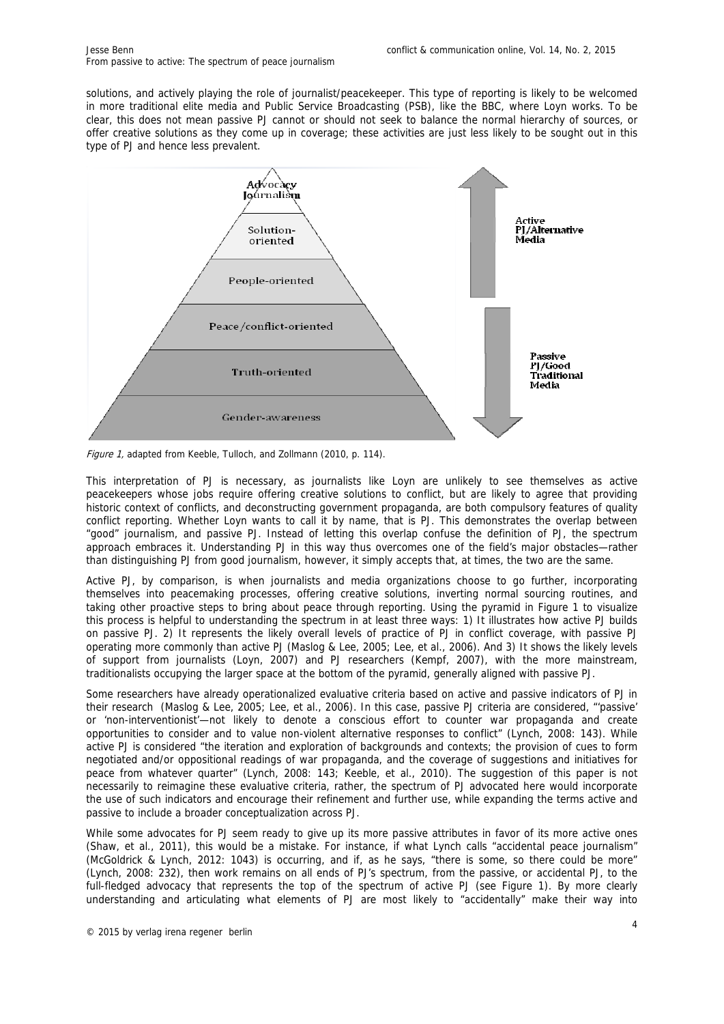solutions, and actively playing the role of journalist/peacekeeper. This type of reporting is likely to be welcomed in more traditional elite media and Public Service Broadcasting (PSB), like the BBC, where Loyn works. To be clear, this does not mean passive PJ cannot or should not seek to balance the normal hierarchy of sources, or offer creative solutions as they come up in coverage; these activities are just less likely to be sought out in this type of PJ and hence less prevalent.



Figure 1, adapted from Keeble, Tulloch, and Zollmann (2010, p. 114).

This interpretation of PJ is necessary, as journalists like Loyn are unlikely to see themselves as active peacekeepers whose jobs require offering creative solutions to conflict, but are likely to agree that providing historic context of conflicts, and deconstructing government propaganda, are both compulsory features of quality conflict reporting. Whether Loyn wants to call it by name, that is PJ. This demonstrates the overlap between "good" journalism, and passive PJ. Instead of letting this overlap confuse the definition of PJ, the spectrum approach embraces it. Understanding PJ in this way thus overcomes one of the field's major obstacles—rather than distinguishing PJ from good journalism, however, it simply accepts that, at times, the two are the same.

Active PJ, by comparison, is when journalists and media organizations choose to go further, incorporating themselves into peacemaking processes, offering creative solutions, inverting normal sourcing routines, and taking other proactive steps to bring about peace through reporting. Using the pyramid in Figure 1 to visualize this process is helpful to understanding the spectrum in at least three ways: 1) It illustrates how active PJ builds on passive PJ. 2) It represents the likely overall levels of practice of PJ in conflict coverage, with passive PJ operating more commonly than active PJ (Maslog & Lee, 2005; Lee, et al., 2006). And 3) It shows the likely levels of support from journalists (Loyn, 2007) and PJ researchers (Kempf, 2007), with the more mainstream, traditionalists occupying the larger space at the bottom of the pyramid, generally aligned with passive PJ.

Some researchers have already operationalized evaluative criteria based on active and passive indicators of PJ in their research (Maslog & Lee, 2005; Lee, et al., 2006). In this case, passive PJ criteria are considered, "'passive' or 'non-interventionist'—not likely to denote a conscious effort to counter war propaganda and create opportunities to consider and to value non-violent alternative responses to conflict" (Lynch, 2008: 143). While active PJ is considered "the iteration and exploration of backgrounds and contexts; the provision of cues to form negotiated and/or oppositional readings of war propaganda, and the coverage of suggestions and initiatives for peace from whatever quarter" (Lynch, 2008: 143; Keeble, et al., 2010). The suggestion of this paper is not necessarily to reimagine these evaluative criteria, rather, the spectrum of PJ advocated here would incorporate the use of such indicators and encourage their refinement and further use, while expanding the terms active and passive to include a broader conceptualization across PJ.

While some advocates for PJ seem ready to give up its more passive attributes in favor of its more active ones (Shaw, et al., 2011), this would be a mistake. For instance, if what Lynch calls "accidental peace journalism" (McGoldrick & Lynch, 2012: 1043) is occurring, and if, as he says, "there is some, so there could be more" (Lynch, 2008: 232), then work remains on all ends of PJ's spectrum, from the passive, or accidental PJ, to the full-fledged advocacy that represents the top of the spectrum of active PJ (see Figure 1). By more clearly understanding and articulating what elements of PJ are most likely to "accidentally" make their way into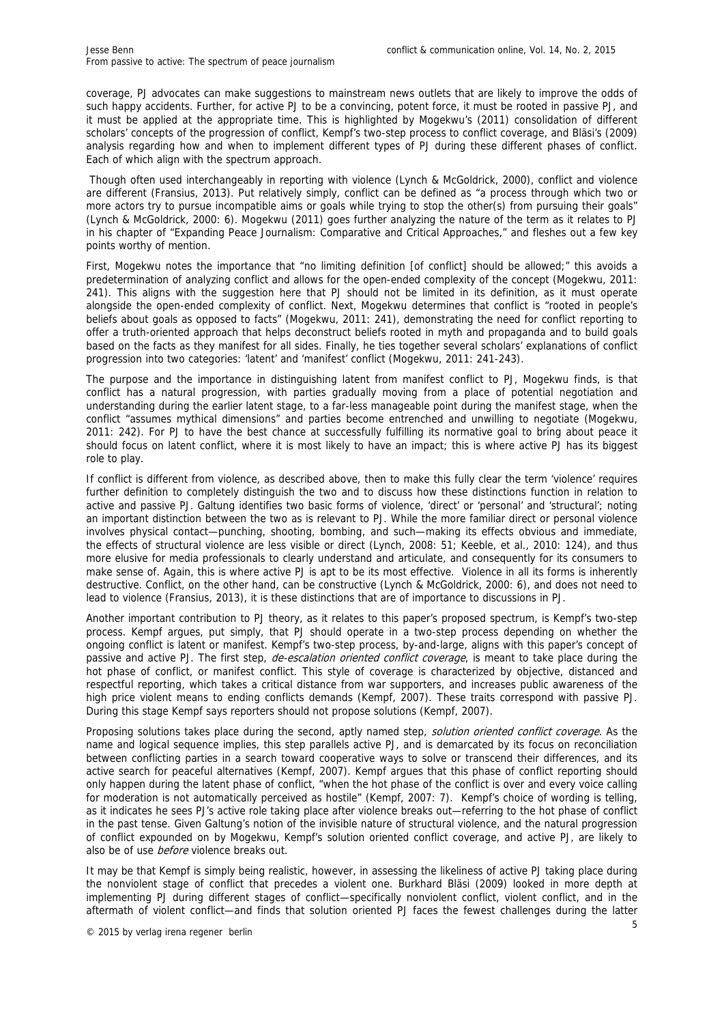coverage, PJ advocates can make suggestions to mainstream news outlets that are likely to improve the odds of such happy accidents. Further, for active PJ to be a convincing, potent force, it must be rooted in passive PJ, and it must be applied at the appropriate time. This is highlighted by Mogekwu's (2011) consolidation of different scholars' concepts of the progression of conflict, Kempf's two-step process to conflict coverage, and Bläsi's (2009) analysis regarding how and when to implement different types of PJ during these different phases of conflict. Each of which align with the spectrum approach.

 Though often used interchangeably in reporting with violence (Lynch & McGoldrick, 2000), conflict and violence are different (Fransius, 2013). Put relatively simply, conflict can be defined as "a process through which two or more actors try to pursue incompatible aims or goals while trying to stop the other(s) from pursuing their goals" (Lynch & McGoldrick, 2000: 6). Mogekwu (2011) goes further analyzing the nature of the term as it relates to PJ in his chapter of "Expanding Peace Journalism: Comparative and Critical Approaches," and fleshes out a few key points worthy of mention.

First, Mogekwu notes the importance that "no limiting definition [of conflict] should be allowed;" this avoids a predetermination of analyzing conflict and allows for the open-ended complexity of the concept (Mogekwu, 2011: 241). This aligns with the suggestion here that PJ should not be limited in its definition, as it must operate alongside the open-ended complexity of conflict. Next, Mogekwu determines that conflict is "rooted in people's beliefs about goals as opposed to facts" (Mogekwu, 2011: 241), demonstrating the need for conflict reporting to offer a truth-oriented approach that helps deconstruct beliefs rooted in myth and propaganda and to build goals based on the facts as they manifest for all sides. Finally, he ties together several scholars' explanations of conflict progression into two categories: 'latent' and 'manifest' conflict (Mogekwu, 2011: 241-243).

The purpose and the importance in distinguishing latent from manifest conflict to PJ, Mogekwu finds, is that conflict has a natural progression, with parties gradually moving from a place of potential negotiation and understanding during the earlier latent stage, to a far-less manageable point during the manifest stage, when the conflict "assumes mythical dimensions" and parties become entrenched and unwilling to negotiate (Mogekwu, 2011: 242). For PJ to have the best chance at successfully fulfilling its normative goal to bring about peace it should focus on latent conflict, where it is most likely to have an impact; this is where active PJ has its biggest role to play.

If conflict is different from violence, as described above, then to make this fully clear the term 'violence' requires further definition to completely distinguish the two and to discuss how these distinctions function in relation to active and passive PJ. Galtung identifies two basic forms of violence, 'direct' or 'personal' and 'structural'; noting an important distinction between the two as is relevant to PJ. While the more familiar direct or personal violence involves physical contact—punching, shooting, bombing, and such—making its effects obvious and immediate, the effects of structural violence are less visible or direct (Lynch, 2008: 51; Keeble, et al., 2010: 124), and thus more elusive for media professionals to clearly understand and articulate, and consequently for its consumers to make sense of. Again, this is where active PJ is apt to be its most effective. Violence in all its forms is inherently destructive. Conflict, on the other hand, can be constructive (Lynch & McGoldrick, 2000: 6), and does not need to lead to violence (Fransius, 2013), it is these distinctions that are of importance to discussions in PJ.

Another important contribution to PJ theory, as it relates to this paper's proposed spectrum, is Kempf's two-step process. Kempf argues, put simply, that PJ should operate in a two-step process depending on whether the ongoing conflict is latent or manifest. Kempf's two-step process, by-and-large, aligns with this paper's concept of passive and active PJ. The first step, de-escalation oriented conflict coverage, is meant to take place during the hot phase of conflict, or manifest conflict. This style of coverage is characterized by objective, distanced and respectful reporting, which takes a critical distance from war supporters, and increases public awareness of the high price violent means to ending conflicts demands (Kempf, 2007). These traits correspond with passive PJ. During this stage Kempf says reporters should not propose solutions (Kempf, 2007).

Proposing solutions takes place during the second, aptly named step, solution oriented conflict coverage. As the name and logical sequence implies, this step parallels active PJ, and is demarcated by its focus on reconciliation between conflicting parties in a search toward cooperative ways to solve or transcend their differences, and its active search for peaceful alternatives (Kempf, 2007). Kempf argues that this phase of conflict reporting should only happen during the latent phase of conflict, "when the hot phase of the conflict is over and every voice calling for moderation is not automatically perceived as hostile" (Kempf, 2007: 7). Kempf's choice of wording is telling, as it indicates he sees PJ's active role taking place after violence breaks out—referring to the hot phase of conflict in the past tense. Given Galtung's notion of the invisible nature of structural violence, and the natural progression of conflict expounded on by Mogekwu, Kempf's solution oriented conflict coverage, and active PJ, are likely to also be of use *before* violence breaks out.

It may be that Kempf is simply being realistic, however, in assessing the likeliness of active PJ taking place during the nonviolent stage of conflict that precedes a violent one. Burkhard Bläsi (2009) looked in more depth at implementing PJ during different stages of conflict—specifically nonviolent conflict, violent conflict, and in the aftermath of violent conflict—and finds that solution oriented PJ faces the fewest challenges during the latter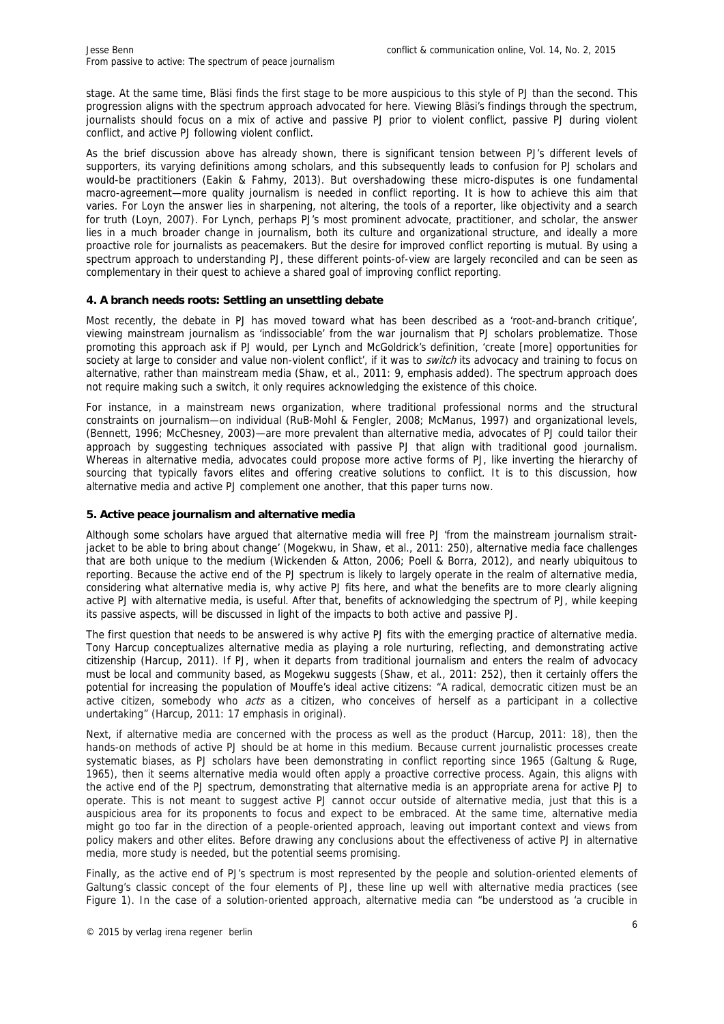stage. At the same time, Bläsi finds the first stage to be more auspicious to this style of PJ than the second. This progression aligns with the spectrum approach advocated for here. Viewing Bläsi's findings through the spectrum, journalists should focus on a mix of active and passive PJ prior to violent conflict, passive PJ during violent conflict, and active PJ following violent conflict.

As the brief discussion above has already shown, there is significant tension between PJ's different levels of supporters, its varying definitions among scholars, and this subsequently leads to confusion for PJ scholars and would-be practitioners (Eakin & Fahmy, 2013). But overshadowing these micro-disputes is one fundamental macro-agreement—more quality journalism is needed in conflict reporting. It is how to achieve this aim that varies. For Loyn the answer lies in sharpening, not altering, the tools of a reporter, like objectivity and a search for truth (Loyn, 2007). For Lynch, perhaps PJ's most prominent advocate, practitioner, and scholar, the answer lies in a much broader change in journalism, both its culture and organizational structure, and ideally a more proactive role for journalists as peacemakers. But the desire for improved conflict reporting is mutual. By using a spectrum approach to understanding PJ, these different points-of-view are largely reconciled and can be seen as complementary in their quest to achieve a shared goal of improving conflict reporting.

## **4. A branch needs roots: Settling an unsettling debate**

Most recently, the debate in PJ has moved toward what has been described as a 'root-and-branch critique', viewing mainstream journalism as 'indissociable' from the war journalism that PJ scholars problematize. Those promoting this approach ask if PJ would, per Lynch and McGoldrick's definition, 'create [more] opportunities for society at large to consider and value non-violent conflict', if it was to *switch* its advocacy and training to focus on alternative, rather than mainstream media (Shaw, et al., 2011: 9, emphasis added). The spectrum approach does not require making such a switch, it only requires acknowledging the existence of this choice.

For instance, in a mainstream news organization, where traditional professional norms and the structural constraints on journalism—on individual (RuB-Mohl & Fengler, 2008; McManus, 1997) and organizational levels, (Bennett, 1996; McChesney, 2003)—are more prevalent than alternative media, advocates of PJ could tailor their approach by suggesting techniques associated with passive PJ that align with traditional good journalism. Whereas in alternative media, advocates could propose more active forms of PJ, like inverting the hierarchy of sourcing that typically favors elites and offering creative solutions to conflict. It is to this discussion, how alternative media and active PJ complement one another, that this paper turns now.

## **5. Active peace journalism and alternative media**

Although some scholars have argued that alternative media will free PJ 'from the mainstream journalism straitjacket to be able to bring about change' (Mogekwu, in Shaw, et al., 2011: 250), alternative media face challenges that are both unique to the medium (Wickenden & Atton, 2006; Poell & Borra, 2012), and nearly ubiquitous to reporting. Because the active end of the PJ spectrum is likely to largely operate in the realm of alternative media, considering what alternative media is, why active PJ fits here, and what the benefits are to more clearly aligning active PJ with alternative media, is useful. After that, benefits of acknowledging the spectrum of PJ, while keeping its passive aspects, will be discussed in light of the impacts to both active and passive PJ.

The first question that needs to be answered is why active PJ fits with the emerging practice of alternative media. Tony Harcup conceptualizes alternative media as playing a role nurturing, reflecting, and demonstrating active citizenship (Harcup, 2011). If PJ, when it departs from traditional journalism and enters the realm of advocacy must be local and community based, as Mogekwu suggests (Shaw, et al., 2011: 252), then it certainly offers the potential for increasing the population of Mouffe's ideal active citizens: "A radical, democratic citizen must be an active citizen, somebody who *acts* as a citizen, who conceives of herself as a participant in a collective undertaking" (Harcup, 2011: 17 emphasis in original).

Next, if alternative media are concerned with the process as well as the product (Harcup, 2011: 18), then the hands-on methods of active PJ should be at home in this medium. Because current journalistic processes create systematic biases, as PJ scholars have been demonstrating in conflict reporting since 1965 (Galtung & Ruge, 1965), then it seems alternative media would often apply a proactive corrective process. Again, this aligns with the active end of the PJ spectrum, demonstrating that alternative media is an appropriate arena for active PJ to operate. This is not meant to suggest active PJ cannot occur outside of alternative media, just that this is a auspicious area for its proponents to focus and expect to be embraced. At the same time, alternative media might go too far in the direction of a people-oriented approach, leaving out important context and views from policy makers and other elites. Before drawing any conclusions about the effectiveness of active PJ in alternative media, more study is needed, but the potential seems promising.

Finally, as the active end of PJ's spectrum is most represented by the people and solution-oriented elements of Galtung's classic concept of the four elements of PJ, these line up well with alternative media practices (see Figure 1). In the case of a solution-oriented approach, alternative media can "be understood as 'a crucible in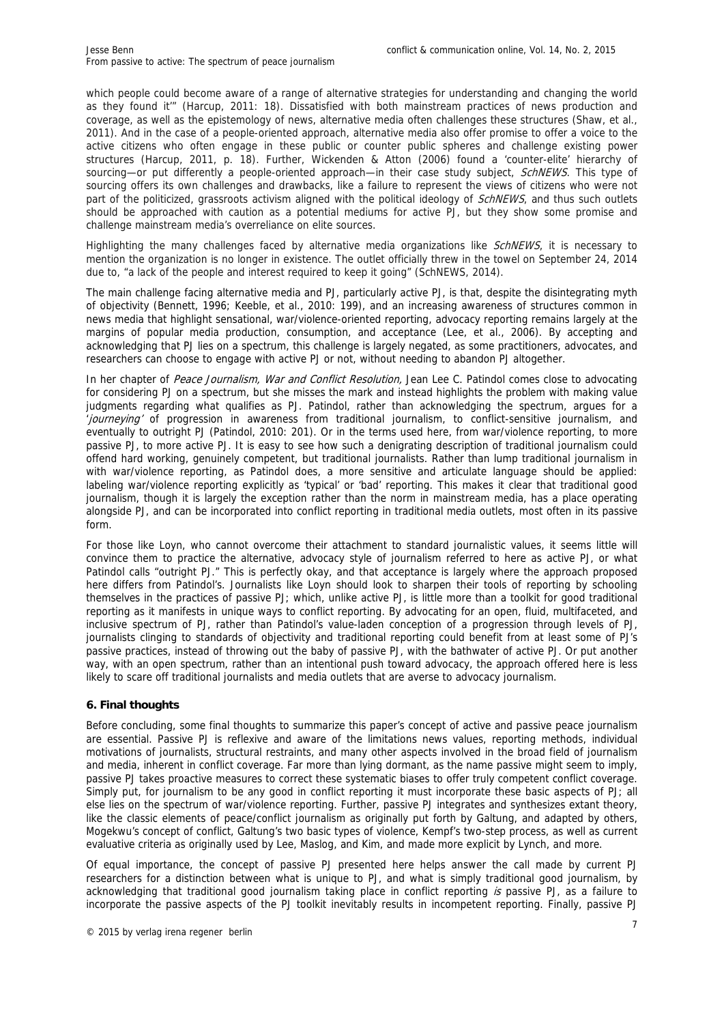which people could become aware of a range of alternative strategies for understanding and changing the world as they found it'" (Harcup, 2011: 18). Dissatisfied with both mainstream practices of news production and coverage, as well as the epistemology of news, alternative media often challenges these structures (Shaw, et al., 2011). And in the case of a people-oriented approach, alternative media also offer promise to offer a voice to the active citizens who often engage in these public or counter public spheres and challenge existing power structures (Harcup, 2011, p. 18). Further, Wickenden & Atton (2006) found a 'counter-elite' hierarchy of sourcing—or put differently a people-oriented approach—in their case study subject, SchNEWS. This type of sourcing offers its own challenges and drawbacks, like a failure to represent the views of citizens who were not part of the politicized, grassroots activism aligned with the political ideology of SchNEWS, and thus such outlets should be approached with caution as a potential mediums for active PJ, but they show some promise and challenge mainstream media's overreliance on elite sources.

Highlighting the many challenges faced by alternative media organizations like SchNEWS, it is necessary to mention the organization is no longer in existence. The outlet officially threw in the towel on September 24, 2014 due to, "a lack of the people and interest required to keep it going" (SchNEWS, 2014).

The main challenge facing alternative media and PJ, particularly active PJ, is that, despite the disintegrating myth of objectivity (Bennett, 1996; Keeble, et al., 2010: 199), and an increasing awareness of structures common in news media that highlight sensational, war/violence-oriented reporting, advocacy reporting remains largely at the margins of popular media production, consumption, and acceptance (Lee, et al., 2006). By accepting and acknowledging that PJ lies on a spectrum, this challenge is largely negated, as some practitioners, advocates, and researchers can choose to engage with active PJ or not, without needing to abandon PJ altogether.

In her chapter of Peace Journalism, War and Conflict Resolution, Jean Lee C. Patindol comes close to advocating for considering PJ on a spectrum, but she misses the mark and instead highlights the problem with making value judgments regarding what qualifies as PJ. Patindol, rather than acknowledging the spectrum, argues for a *lourneying'* of progression in awareness from traditional journalism, to conflict-sensitive journalism, and eventually to outright PJ (Patindol, 2010: 201). Or in the terms used here, from war/violence reporting, to more passive PJ, to more active PJ. It is easy to see how such a denigrating description of traditional journalism could offend hard working, genuinely competent, but traditional journalists. Rather than lump traditional journalism in with war/violence reporting, as Patindol does, a more sensitive and articulate language should be applied: labeling war/violence reporting explicitly as 'typical' or 'bad' reporting. This makes it clear that traditional good journalism, though it is largely the exception rather than the norm in mainstream media, has a place operating alongside PJ, and can be incorporated into conflict reporting in traditional media outlets, most often in its passive form.

For those like Loyn, who cannot overcome their attachment to standard journalistic values, it seems little will convince them to practice the alternative, advocacy style of journalism referred to here as active PJ, or what Patindol calls "outright PJ." This is perfectly okay, and that acceptance is largely where the approach proposed here differs from Patindol's. Journalists like Loyn should look to sharpen their tools of reporting by schooling themselves in the practices of passive PJ; which, unlike active PJ, is little more than a toolkit for good traditional reporting as it manifests in unique ways to conflict reporting. By advocating for an open, fluid, multifaceted, and inclusive spectrum of PJ, rather than Patindol's value-laden conception of a progression through levels of PJ, journalists clinging to standards of objectivity and traditional reporting could benefit from at least some of PJ's passive practices, instead of throwing out the baby of passive PJ, with the bathwater of active PJ. Or put another way, with an open spectrum, rather than an intentional push toward advocacy, the approach offered here is less likely to scare off traditional journalists and media outlets that are averse to advocacy journalism.

#### **6. Final thoughts**

Before concluding, some final thoughts to summarize this paper's concept of active and passive peace journalism are essential. Passive PJ is reflexive and aware of the limitations news values, reporting methods, individual motivations of journalists, structural restraints, and many other aspects involved in the broad field of journalism and media, inherent in conflict coverage. Far more than lying dormant, as the name passive might seem to imply, passive PJ takes proactive measures to correct these systematic biases to offer truly competent conflict coverage. Simply put, for journalism to be any good in conflict reporting it must incorporate these basic aspects of PJ; all else lies on the spectrum of war/violence reporting. Further, passive PJ integrates and synthesizes extant theory, like the classic elements of peace/conflict journalism as originally put forth by Galtung, and adapted by others, Mogekwu's concept of conflict, Galtung's two basic types of violence, Kempf's two-step process, as well as current evaluative criteria as originally used by Lee, Maslog, and Kim, and made more explicit by Lynch, and more.

Of equal importance, the concept of passive PJ presented here helps answer the call made by current PJ researchers for a distinction between what is unique to PJ, and what is simply traditional good journalism, by acknowledging that traditional good journalism taking place in conflict reporting is passive PJ, as a failure to incorporate the passive aspects of the PJ toolkit inevitably results in incompetent reporting. Finally, passive PJ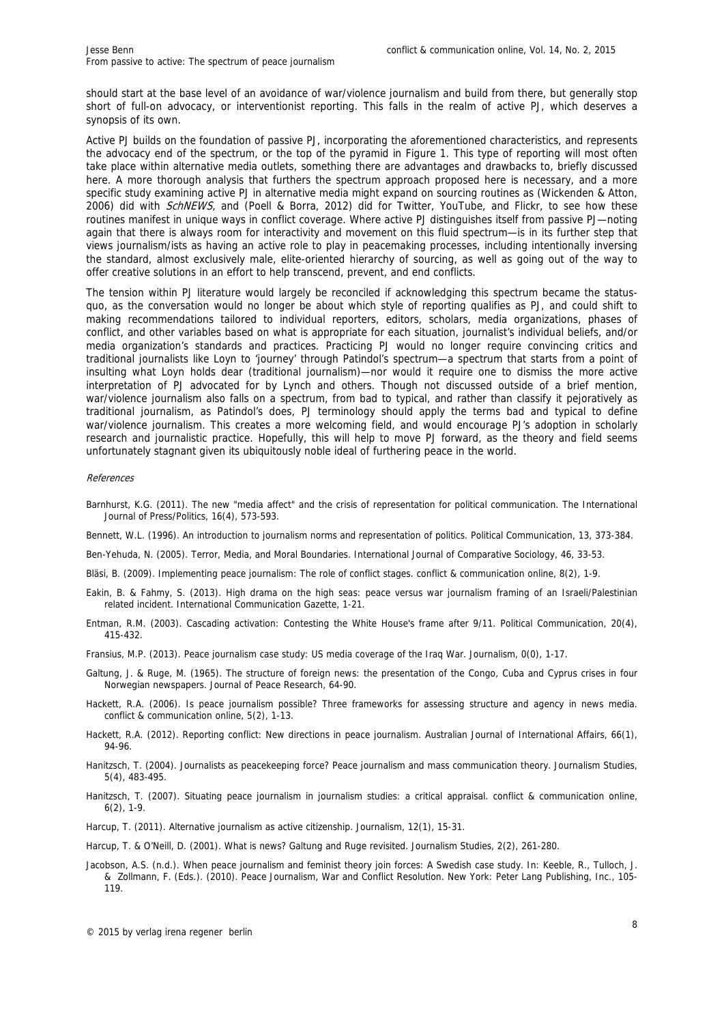should start at the base level of an avoidance of war/violence journalism and build from there, but generally stop short of full-on advocacy, or interventionist reporting. This falls in the realm of active PJ, which deserves a synopsis of its own.

Active PJ builds on the foundation of passive PJ, incorporating the aforementioned characteristics, and represents the advocacy end of the spectrum, or the top of the pyramid in Figure 1. This type of reporting will most often take place within alternative media outlets, something there are advantages and drawbacks to, briefly discussed here. A more thorough analysis that furthers the spectrum approach proposed here is necessary, and a more specific study examining active PJ in alternative media might expand on sourcing routines as (Wickenden & Atton, 2006) did with SchNEWS, and (Poell & Borra, 2012) did for Twitter, YouTube, and Flickr, to see how these routines manifest in unique ways in conflict coverage. Where active PJ distinguishes itself from passive PJ—noting again that there is always room for interactivity and movement on this fluid spectrum—is in its further step that views journalism/ists as having an active role to play in peacemaking processes, including intentionally inversing the standard, almost exclusively male, elite-oriented hierarchy of sourcing, as well as going out of the way to offer creative solutions in an effort to help transcend, prevent, and end conflicts.

The tension within PJ literature would largely be reconciled if acknowledging this spectrum became the statusquo, as the conversation would no longer be about which style of reporting qualifies as PJ, and could shift to making recommendations tailored to individual reporters, editors, scholars, media organizations, phases of conflict, and other variables based on what is appropriate for each situation, journalist's individual beliefs, and/or media organization's standards and practices. Practicing PJ would no longer require convincing critics and traditional journalists like Loyn to 'journey' through Patindol's spectrum—a spectrum that starts from a point of insulting what Loyn holds dear (traditional journalism)—nor would it require one to dismiss the more active interpretation of PJ advocated for by Lynch and others. Though not discussed outside of a brief mention, war/violence journalism also falls on a spectrum, from bad to typical, and rather than classify it pejoratively as traditional journalism, as Patindol's does, PJ terminology should apply the terms bad and typical to define war/violence journalism. This creates a more welcoming field, and would encourage PJ's adoption in scholarly research and journalistic practice. Hopefully, this will help to move PJ forward, as the theory and field seems unfortunately stagnant given its ubiquitously noble ideal of furthering peace in the world.

#### References

Barnhurst, K.G. (2011). The new "media affect" and the crisis of representation for political communication. The International Journal of Press/Politics, 16(4), 573-593.

Bennett, W.L. (1996). An introduction to journalism norms and representation of politics. Political Communication, 13, 373-384.

Ben-Yehuda, N. (2005). Terror, Media, and Moral Boundaries. International Journal of Comparative Sociology, 46, 33-53.

Bläsi, B. (2009). Implementing peace journalism: The role of conflict stages. conflict & communication online, 8(2), 1-9.

- Eakin, B. & Fahmy, S. (2013). High drama on the high seas: peace versus war journalism framing of an Israeli/Palestinian related incident. International Communication Gazette, 1-21.
- Entman, R.M. (2003). Cascading activation: Contesting the White House's frame after 9/11. Political Communication, 20(4), 415-432.
- Fransius, M.P. (2013). Peace journalism case study: US media coverage of the Iraq War. Journalism, 0(0), 1-17.
- Galtung, J. & Ruge, M. (1965). The structure of foreign news: the presentation of the Congo, Cuba and Cyprus crises in four Norwegian newspapers. Journal of Peace Research, 64-90.
- Hackett, R.A. (2006). Is peace journalism possible? Three frameworks for assessing structure and agency in news media. conflict & communication online, 5(2), 1-13.
- Hackett, R.A. (2012). Reporting conflict: New directions in peace journalism. Australian Journal of International Affairs, 66(1), 94-96.
- Hanitzsch, T. (2004). Journalists as peacekeeping force? Peace journalism and mass communication theory. Journalism Studies, 5(4), 483-495.
- Hanitzsch, T. (2007). Situating peace journalism in journalism studies: a critical appraisal. conflict & communication online, 6(2), 1-9.
- Harcup, T. (2011). Alternative journalism as active citizenship. Journalism, 12(1), 15-31.
- Harcup, T. & O'Neill, D. (2001). What is news? Galtung and Ruge revisited. Journalism Studies, 2(2), 261-280.
- Jacobson, A.S. (n.d.). When peace journalism and feminist theory join forces: A Swedish case study. In: Keeble, R., Tulloch, J. & Zollmann, F. (Eds.). (2010). Peace Journalism, War and Conflict Resolution. New York: Peter Lang Publishing, Inc., 105- 119.